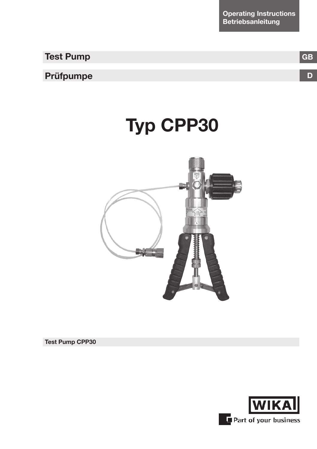**Operating Instructions Betriebsanleitung**

**Test Pump**

## **Prüfpumpe**

# **Typ CPP30**



**Test Pump CPP30**



**D**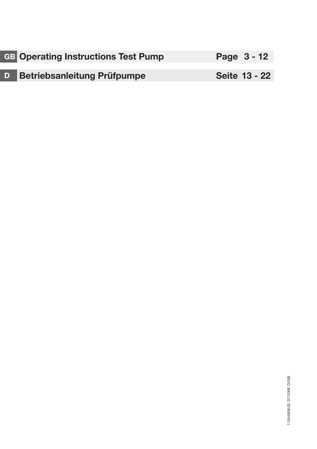| <b>GB</b> Operating Instructions Test Pump | Page $3 - 12$        |
|--------------------------------------------|----------------------|
|                                            |                      |
| <b>D</b> Betriebsanleitung Prüfpumpe       | <b>Seite 13 - 22</b> |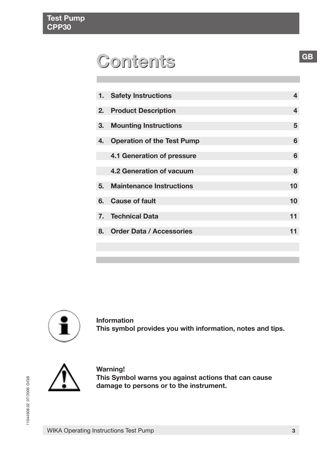## **Contents Contents**

| 1. | <b>Safety Instructions</b>        | 4  |
|----|-----------------------------------|----|
| 2. | <b>Product Description</b>        | 4  |
| З. | <b>Mounting Instructions</b>      | 5  |
| 4. | <b>Operation of the Test Pump</b> | 6  |
|    | 4.1 Generation of pressure        | 6  |
|    | 4.2 Generation of vacuum          | 8  |
| 5. | <b>Maintenance Instructions</b>   | 10 |
|    | 6. Cause of fault                 | 10 |
| 7. | <b>Technical Data</b>             | 11 |
| 8. | <b>Order Data / Accessories</b>   | 11 |
|    |                                   |    |



**Information This symbol provides you with information, notes and tips.**



**Warning! This Symbol warns you against actions that can cause damage to persons or to the instrument.**

**GB**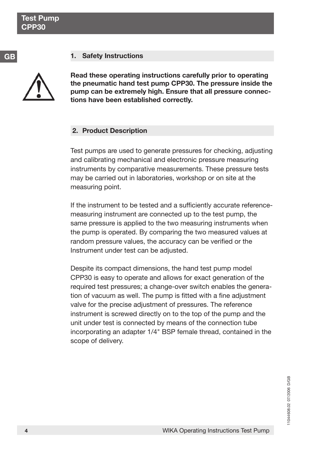**GB**

## **1. Safety Instructions**

**Read these operating instructions carefully prior to operating the pneumatic hand test pump CPP30. The pressure inside the pump can be extremely high. Ensure that all pressure connections have been established correctly.**

## **2. Product Description**

Test pumps are used to generate pressures for checking, adjusting and calibrating mechanical and electronic pressure measuring instruments by comparative measurements. These pressure tests may be carried out in laboratories, workshop or on site at the measuring point.

If the instrument to be tested and a sufficiently accurate referencemeasuring instrument are connected up to the test pump, the same pressure is applied to the two measuring instruments when the pump is operated. By comparing the two measured values at random pressure values, the accuracy can be verified or the Instrument under test can be adjusted.

Despite its compact dimensions, the hand test pump model CPP30 is easy to operate and allows for exact generation of the required test pressures; a change-over switch enables the generation of vacuum as well. The pump is fitted with a fine adjustment valve for the precise adjustment of pressures. The reference instrument is screwed directly on to the top of the pump and the unit under test is connected by means of the connection tube incorporating an adapter 1/4" BSP female thread, contained in the scope of delivery.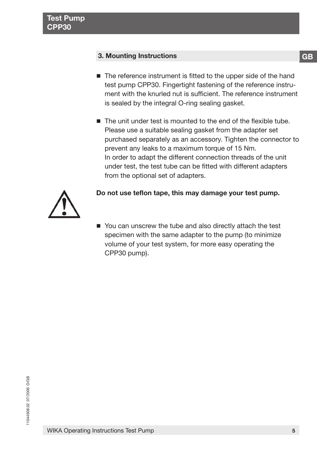## **3. Mounting Instructions**

- The reference instrument is fitted to the upper side of the hand test pump CPP30. Fingertight fastening of the reference instrument with the knurled nut is sufficient. The reference instrument is sealed by the integral O-ring sealing gasket.
- The unit under test is mounted to the end of the flexible tube. Please use a suitable sealing gasket from the adapter set purchased separately as an accessory. Tighten the connector to prevent any leaks to a maximum torque of 15 Nm. In order to adapt the different connection threads of the unit under test, the test tube can be fitted with different adapters from the optional set of adapters.



## **Do not use teflon tape, this may damage your test pump.**

■ You can unscrew the tube and also directly attach the test specimen with the same adapter to the pump (to minimize volume of your test system, for more easy operating the CPP30 pump).

**GB**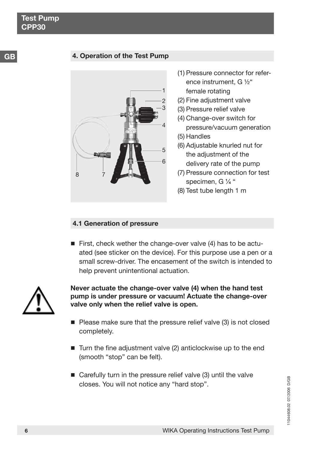## **4. Operation of the Test Pump**



- (1) Pressure connector for reference instrument,  $G\frac{1}{2}$ " female rotating
- (2) Fine adjustment valve
- (3) Pressure relief valve
- (4) Change-over switch for pressure/vacuum generation
- (5) Handles
- (6) Adjustable knurled nut for the adjustment of the delivery rate of the pump
- (7) Pressure connection for test specimen, G $\frac{1}{4}$ "
- (8) Test tube length 1 m

### **4.1 Generation of pressure**

First, check wether the change-over valve (4) has to be actuated (see sticker on the device). For this purpose use a pen or a small screw-driver. The encasement of the switch is intended to help prevent unintentional actuation.



**Never actuate the change-over valve (4) when the hand test pump is under pressure or vacuum! Actuate the change-over valve only when the relief valve is open.**

- $\blacksquare$  Please make sure that the pressure relief valve (3) is not closed completely.
- $\blacksquare$  Turn the fine adjustment valve (2) anticlockwise up to the end (smooth "stop" can be felt).
- Carefully turn in the pressure relief valve (3) until the valve closes. You will not notice any "hard stop".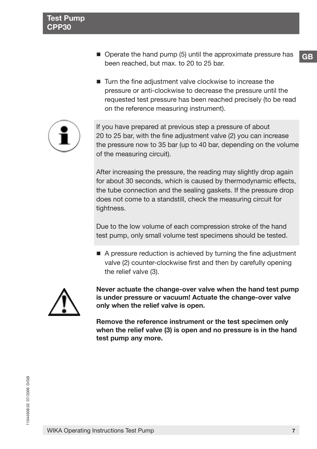- $\blacksquare$  Operate the hand pump (5) until the approximate pressure has been reached, but max. to 20 to 25 bar.
- Turn the fine adjustment valve clockwise to increase the pressure or anti-clockwise to decrease the pressure until the requested test pressure has been reached precisely (to be read on the reference measuring instrument).



If you have prepared at previous step a pressure of about 20 to 25 bar, with the fine adjustment valve (2) you can increase the pressure now to 35 bar (up to 40 bar, depending on the volume of the measuring circuit).

After increasing the pressure, the reading may slightly drop again for about 30 seconds, which is caused by thermodynamic effects, the tube connection and the sealing gaskets. If the pressure drop does not come to a standstill, check the measuring circuit for tightness.

Due to the low volume of each compression stroke of the hand test pump, only small volume test specimens should be tested.

■ A pressure reduction is achieved by turning the fine adjustment valve (2) counter-clockwise first and then by carefully opening the relief valve (3).



**Never actuate the change-over valve when the hand test pump is under pressure or vacuum! Actuate the change-over valve only when the relief valve is open.**

**Remove the reference instrument or the test specimen only when the relief valve (3) is open and no pressure is in the hand test pump any more.**

**GB**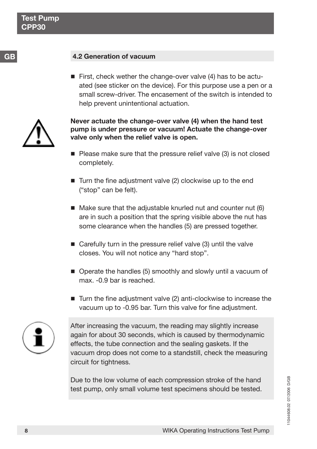## **4.2 Generation of vacuum**

First, check wether the change-over valve  $(4)$  has to be actuated (see sticker on the device). For this purpose use a pen or a small screw-driver. The encasement of the switch is intended to help prevent unintentional actuation.



**Never actuate the change-over valve (4) when the hand test pump is under pressure or vacuum! Actuate the change-over valve only when the relief valve is open.**

- $\blacksquare$  Please make sure that the pressure relief valve (3) is not closed completely.
- $\blacksquare$  Turn the fine adjustment valve (2) clockwise up to the end ("stop" can be felt).
- $\blacksquare$  Make sure that the adjustable knurled nut and counter nut (6) are in such a position that the spring visible above the nut has some clearance when the handles (5) are pressed together.
- Carefully turn in the pressure relief valve (3) until the valve closes. You will not notice any "hard stop".
- Operate the handles (5) smoothly and slowly until a vacuum of max. -0.9 bar is reached.
- Turn the fine adjustment valve (2) anti-clockwise to increase the vacuum up to -0.95 bar. Turn this valve for fine adjustment.



After increasing the vacuum, the reading may slightly increase again for about 30 seconds, which is caused by thermodynamic effects, the tube connection and the sealing gaskets. If the vacuum drop does not come to a standstill, check the measuring circuit for tightness.

Due to the low volume of each compression stroke of the hand test pump, only small volume test specimens should be tested.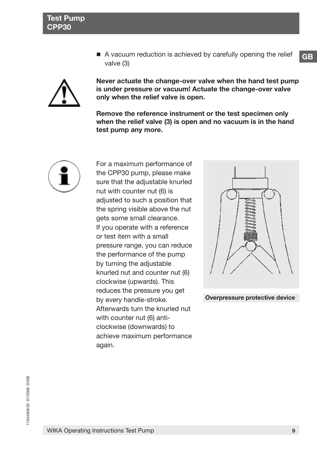A vacuum reduction is achieved by carefully opening the relief valve (3)



**Never actuate the change-over valve when the hand test pump is under pressure or vacuum! Actuate the change-over valve only when the relief valve is open.**

**Remove the reference instrument or the test specimen only when the relief valve (3) is open and no vacuum is in the hand test pump any more.**



For a maximum performance of the CPP30 pump, please make sure that the adjustable knurled nut with counter nut (6) is adjusted to such a position that the spring visible above the nut gets some small clearance. If you operate with a reference or test item with a small pressure range, you can reduce the performance of the pump by turning the adjustable knurled nut and counter nut (6) clockwise (upwards). This reduces the pressure you get by every handle-stroke. Afterwards turn the knurled nut with counter nut (6) anticlockwise (downwards) to achieve maximum performance again.



**Overpressure protective device**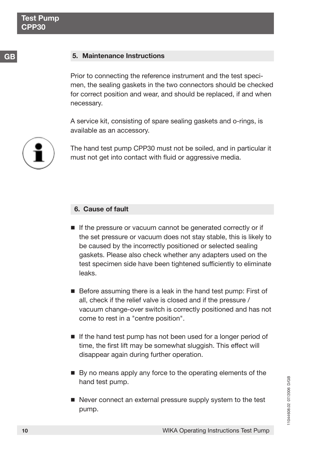**GB**

## **5. Maintenance Instructions**

Prior to connecting the reference instrument and the test specimen, the sealing gaskets in the two connectors should be checked for correct position and wear, and should be replaced, if and when necessary.

A service kit, consisting of spare sealing gaskets and o-rings, is available as an accessory.

The hand test pump CPP30 must not be soiled, and in particular it must not get into contact with fluid or aggressive media.

## **6. Cause of fault**

- If the pressure or vacuum cannot be generated correctly or if the set pressure or vacuum does not stay stable, this is likely to be caused by the incorrectly positioned or selected sealing gaskets. Please also check whether any adapters used on the test specimen side have been tightened sufficiently to eliminate leaks.
- Before assuming there is a leak in the hand test pump: First of all, check if the relief valve is closed and if the pressure / vacuum change-over switch is correctly positioned and has not come to rest in a "centre position".
- If the hand test pump has not been used for a longer period of time, the first lift may be somewhat sluggish. This effect will disappear again during further operation.
- By no means apply any force to the operating elements of the hand test pump.
- Never connect an external pressure supply system to the test pump.

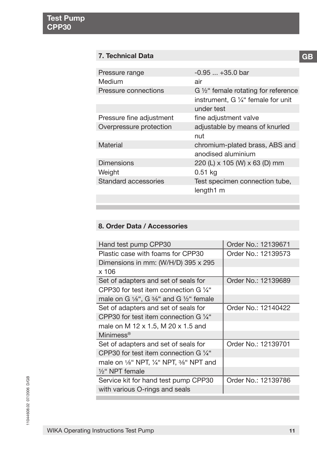## **7. Technical Data**

| Pressure range           | $-0.95+35.0$ bar                              |
|--------------------------|-----------------------------------------------|
| Medium                   | air                                           |
| Pressure connections     | G 1/2" female rotating for reference          |
|                          | instrument, G $\frac{1}{4}$ " female for unit |
|                          | under test                                    |
| Pressure fine adjustment | fine adjustment valve                         |
| Overpressure protection  | adjustable by means of knurled                |
|                          | nut                                           |
| Material                 | chromium-plated brass, ABS and                |
|                          | anodised aluminium                            |
| <b>Dimensions</b>        | 220 (L) x 105 (W) x 63 (D) mm                 |
| Weight                   | $0.51$ kg                                     |
| Standard accessories     | Test specimen connection tube,                |
|                          | length1 m                                     |
|                          |                                               |

## **8. Order Data / Accessories**

| Hand test pump CPP30                                                      | Order No.: 12139671 |
|---------------------------------------------------------------------------|---------------------|
| Plastic case with foams for CPP30                                         | Order No.: 12139573 |
| Dimensions in mm: (W/H/D) 395 x 295                                       |                     |
| x 106                                                                     |                     |
| Set of adapters and set of seals for                                      | Order No.: 12139689 |
| CPP30 for test item connection G $\frac{1}{4}$ "                          |                     |
| male on G $\frac{1}{6}$ ", G $\frac{3}{6}$ " and G $\frac{1}{2}$ " female |                     |
| Set of adapters and set of seals for                                      | Order No.: 12140422 |
| CPP30 for test item connection G $\frac{1}{4}$ "                          |                     |
| male on M 12 x 1.5, M 20 x 1.5 and                                        |                     |
| Minimess <sup>®</sup>                                                     |                     |
| Set of adapters and set of seals for                                      | Order No.: 12139701 |
| CPP30 for test item connection G $\frac{1}{4}$ "                          |                     |
| male on 1/6" NPT, 1/4" NPT, 3/6" NPT and                                  |                     |
| $\frac{1}{2}$ " NPT female                                                |                     |
| Service kit for hand test pump CPP30                                      | Order No.: 12139786 |
| with various O-rings and seals                                            |                     |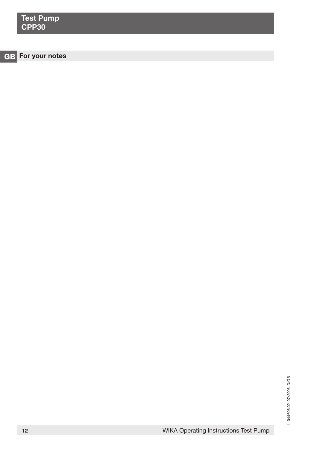| <b>Test Pump</b><br>CPP30 |  |
|---------------------------|--|
|                           |  |
| GB For your notes         |  |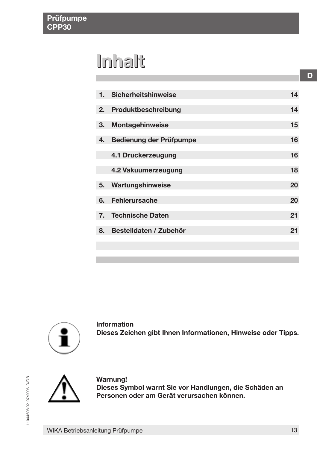## **Inhalt**

| 1. | <b>Sicherheitshinweise</b> | 14 |
|----|----------------------------|----|
|    |                            |    |
| 2. | Produktbeschreibung        | 14 |
| 3. | <b>Montagehinweise</b>     | 15 |
|    |                            |    |
| 4. | Bedienung der Prüfpumpe    | 16 |
|    | 4.1 Druckerzeugung         | 16 |
|    |                            |    |
|    | 4.2 Vakuumerzeugung        | 18 |
|    |                            |    |
| 5. | Wartungshinweise           | 20 |
| 6. | <b>Fehlerursache</b>       | 20 |
|    |                            |    |
| 7. | <b>Technische Daten</b>    | 21 |
| 8. | Bestelldaten / Zubehör     | 21 |
|    |                            |    |
|    |                            |    |
|    |                            |    |



**Information Dieses Zeichen gibt Ihnen Informationen, Hinweise oder Tipps.**



**Warnung!** Dieses Symbol warnt Sie vor Handlungen, die Schäden an Personen oder am Gerät verursachen können.

**D**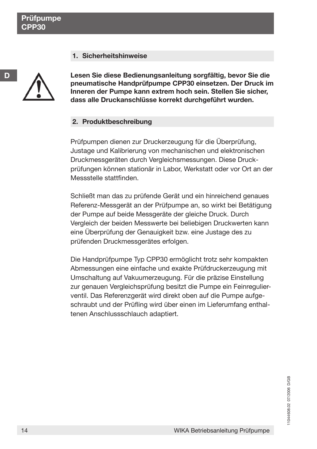## **1. Sicherheitshinweise**



**D**

Lesen Sie diese Bedienungsanleitung sorgfältig, bevor Sie die pneumatische Handprüfpumpe CPP30 einsetzen. Der Druck im **Inneren der Pumpe kann extrem hoch sein. Stellen Sie sicher,** dass alle Druckanschlüsse korrekt durchgeführt wurden.

## **2. Produktbeschreibung**

Prüfpumpen dienen zur Druckerzeugung für die Überprüfung, Justage und Kalibrierung von mechanischen und elektronischen Druckmessger‰ten durch Vergleichsmessungen. Diese Druckprüfungen können stationär in Labor, Werkstatt oder vor Ort an der Messstelle stattfinden.

Schließt man das zu prüfende Gerät und ein hinreichend genaues Referenz-Messgerät an der Prüfpumpe an, so wirkt bei Betätigung der Pumpe auf beide Messgeräte der gleiche Druck. Durch Vergleich der beiden Messwerte bei beliebigen Druckwerten kann eine Überprüfung der Genauigkeit bzw. eine Justage des zu prüfenden Druckmessgerätes erfolgen.

Die Handprüfpumpe Typ CPP30 ermöglicht trotz sehr kompakten Abmessungen eine einfache und exakte Prüfdruckerzeugung mit Umschaltung auf Vakuumerzeugung. Für die präzise Einstellung zur genauen Vergleichsprüfung besitzt die Pumpe ein Feinregulierventil. Das Referenzgerät wird direkt oben auf die Pumpe aufgeschraubt und der Prüfling wird über einen im Lieferumfang enthaltenen Anschlussschlauch adaptiert.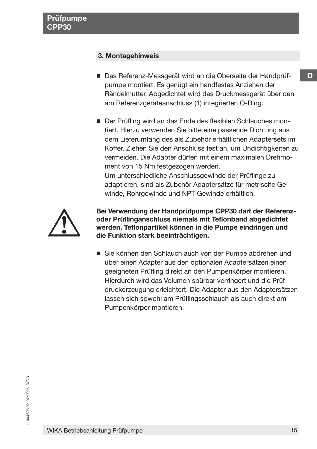## **3. Montagehinweis**

■ Das Referenz-Messgerät wird an die Oberseite der Handprüfpumpe montiert. Es genügt ein handfestes Anziehen der Rändelmutter. Abgedichtet wird das Druckmessgerät über den am Referenzgeräteanschluss (1) integrierten O-Ring.

■ Der Prüfling wird an das Ende des flexiblen Schlauches montiert. Hierzu verwenden Sie bitte eine passende Dichtung aus dem Lieferumfang des als Zubehör erhältlichen Adaptersets im Koffer. Ziehen Sie den Anschluss fest an, um Undichtigkeiten zu vermeiden. Die Adapter dürfen mit einem maximalen Drehmoment von 15 Nm festgezogen werden. Um unterschiedliche Anschlussgewinde der Prüflinge zu adaptieren, sind als Zubehör Adaptersätze für metrische Gewinde, Rohrgewinde und NPT-Gewinde erhältlich.



Bei Verwendung der Handprüfpumpe CPP30 darf der Referenz**oder Prüflinganschluss niemals mit Teflonband abgedichtet werden. Teflonpartikel kˆnnen in die Pumpe eindringen und die Funktion stark beeintr‰chtigen.**

■ Sie können den Schlauch auch von der Pumpe abdrehen und über einen Adapter aus den optionalen Adaptersätzen einen geeigneten Prüfling direkt an den Pumpenkörper montieren. Hierdurch wird das Volumen spürbar verringert und die Prüfdruckerzeugung erleichtert. Die Adapter aus den Adaptersätzen lassen sich sowohl am Prüflingsschlauch als auch direkt am Pumpenkörper montieren.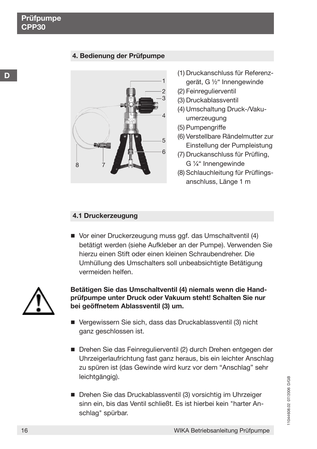## **4. Bedienung der Prüfpumpe**



- (1) Druckanschluss für Referenzgerät, G 1/<sub>2</sub><sup>"</sup> Innengewinde
- (2) Feinregulierventil
- (3) Druckablassventil
- (4) Umschaltung Druck-/Vakuumerzeugung
- (5) Pumpengriffe
- (6) Verstellbare Rändelmutter zur Einstellung der Pumpleistung
- (7) Druckanschluss für Prüfling, G 1/<sub>4</sub>" Innengewinde
- (8) Schlauchleitung für Prüflingsanschluss, Länge 1 m

### **4.1 Druckerzeugung**

■ Vor einer Druckerzeugung muss ggf. das Umschaltventil (4) bet‰tigt werden (siehe Aufkleber an der Pumpe). Verwenden Sie hierzu einen Stift oder einen kleinen Schraubendreher. Die Umhüllung des Umschalters soll unbeabsichtigte Betätigung vermeiden helfen.



Betätigen Sie das Umschaltventil (4) niemals wenn die Handprüfpumpe unter Druck oder Vakuum steht! Schalten Sie nur **bei geˆffnetem Ablassventil (3) um.**

- Vergewissern Sie sich, dass das Druckablassventil (3) nicht ganz geschlossen ist.
- Drehen Sie das Feinregulierventil (2) durch Drehen entgegen der Uhrzeigerlaufrichtung fast ganz heraus, bis ein leichter Anschlag zu spüren ist (das Gewinde wird kurz vor dem "Anschlag" sehr leichtgängig).
- Drehen Sie das Druckablassventil (3) vorsichtig im Uhrzeiger sinn ein, bis das Ventil schlieflt. Es ist hierbei kein "harter Anschlag" spürbar.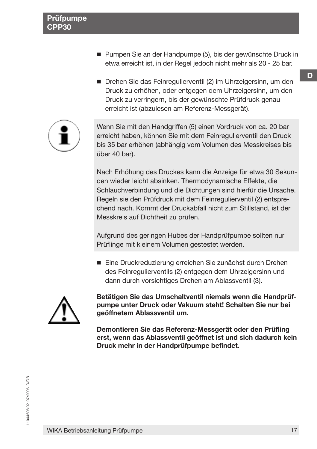- Pumpen Sie an der Handpumpe (5), bis der gewünschte Druck in etwa erreicht ist, in der Regel jedoch nicht mehr als 20 - 25 bar.
- Drehen Sie das Feinregulierventil (2) im Uhrzeigersinn, um den Druck zu erhöhen, oder entgegen dem Uhrzeigersinn, um den Druck zu verringern, bis der gewünschte Prüfdruck genau erreicht ist (abzulesen am Referenz-Messgerät).



Wenn Sie mit den Handgriffen (5) einen Vordruck von ca. 20 bar erreicht haben, können Sie mit dem Feinregulierventil den Druck bis 35 bar erhöhen (abhängig vom Volumen des Messkreises bis über 40 bar).

Nach Erhöhung des Druckes kann die Anzeige für etwa 30 Sekunden wieder leicht absinken. Thermodynamische Effekte, die Schlauchverbindung und die Dichtungen sind hierfür die Ursache. Regeln sie den Prüfdruck mit dem Feinregulierventil (2) entsprechend nach. Kommt der Druckabfall nicht zum Stillstand, ist der Messkreis auf Dichtheit zu prüfen.

Aufgrund des geringen Hubes der Handprüfpumpe sollten nur Prüflinge mit kleinem Volumen gestestet werden.

■ Eine Druckreduzierung erreichen Sie zunächst durch Drehen des Feinregulierventils (2) entgegen dem Uhrzeigersinn und dann durch vorsichtiges Drehen am Ablassventil (3).



Betätigen Sie das Umschaltventil niemals wenn die Handprüf**pumpe unter Druck oder Vakuum steht! Schalten Sie nur bei geˆffnetem Ablassventil um.**

Demontieren Sie das Referenz-Messgerät oder den Prüfling **erst, wenn das Ablassventil geˆffnet ist und sich dadurch kein** Druck mehr in der Handprüfpumpe befindet.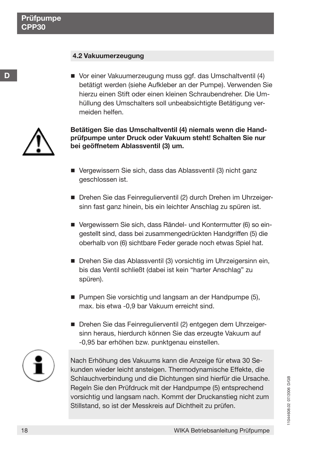**D**

## **4.2 Vakuumerzeugung**

■ Vor einer Vakuumerzeugung muss ggf. das Umschaltventil (4) bet‰tigt werden (siehe Aufkleber an der Pumpe). Verwenden Sie hierzu einen Stift oder einen kleinen Schraubendreher. Die Umhüllung des Umschalters soll unbeabsichtigte Betätigung vermeiden helfen.



Betätigen Sie das Umschaltventil (4) niemals wenn die Handprüfpumpe unter Druck oder Vakuum steht! Schalten Sie nur **bei geˆffnetem Ablassventil (3) um.**

- Vergewissern Sie sich, dass das Ablassventil (3) nicht ganz geschlossen ist.
- Drehen Sie das Feinregulierventil (2) durch Drehen im Uhrzeigersinn fast ganz hinein, bis ein leichter Anschlag zu spüren ist.
- Vergewissern Sie sich, dass Rändel- und Kontermutter (6) so eingestellt sind, dass bei zusammengedrückten Handgriffen (5) die oberhalb von (6) sichtbare Feder gerade noch etwas Spiel hat.
- Drehen Sie das Ablassventil (3) vorsichtig im Uhrzeigersinn ein, bis das Ventil schließt (dabei ist kein "harter Anschlag" zu spüren).
- Pumpen Sie vorsichtig und langsam an der Handpumpe (5), max. bis etwa -0,9 bar Vakuum erreicht sind.
- Drehen Sie das Feinregulierventil (2) entgegen dem Uhrzeigersinn heraus, hierdurch können Sie das erzeugte Vakuum auf -0,95 bar erhöhen bzw. punktgenau einstellen.



Nach Erhöhung des Vakuums kann die Anzeige für etwa 30 Sekunden wieder leicht ansteigen. Thermodynamische Effekte, die Schlauchverbindung und die Dichtungen sind hierfür die Ursache. Regeln Sie den Prüfdruck mit der Handpumpe (5) entsprechend vorsichtig und langsam nach. Kommt der Druckanstieg nicht zum Stillstand, so ist der Messkreis auf Dichtheit zu prüfen.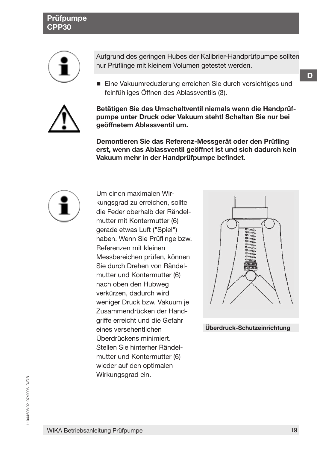## **Pr¸fpumpe CPP30**



Aufgrund des geringen Hubes der Kalibrier-Handprüfpumpe sollten nur Prüflinge mit kleinem Volumen getestet werden.

■ Eine Vakuumreduzierung erreichen Sie durch vorsichtiges und feinfühliges Öffnen des Ablassventils (3).



Betätigen Sie das Umschaltventil niemals wenn die Handprüf**pumpe unter Druck oder Vakuum steht! Schalten Sie nur bei geˆffnetem Ablassventil um.**

Demontieren Sie das Referenz-Messgerät oder den Prüfling **erst, wenn das Ablassventil geˆffnet ist und sich dadurch kein** Vakuum mehr in der Handprüfpumpe befindet.



Um einen maximalen Wirkungsgrad zu erreichen, sollte die Feder oberhalb der Rändelmutter mit Kontermutter (6) gerade etwas Luft ("Spiel") haben. Wenn Sie Prüflinge bzw. Referenzen mit kleinen Messbereichen prüfen, können Sie durch Drehen von Rändelmutter und Kontermutter (6) nach oben den Hubweg verkürzen, dadurch wird weniger Druck bzw. Vakuum je Zusammendrücken der Handgriffe erreicht und die Gefahr eines versehentlichen Überdrückens minimiert. Stellen Sie hinterher Rändelmutter und Kontermutter (6) wieder auf den optimalen Wirkungsgrad ein.



**‹berdruck-Schutzeinrichtung**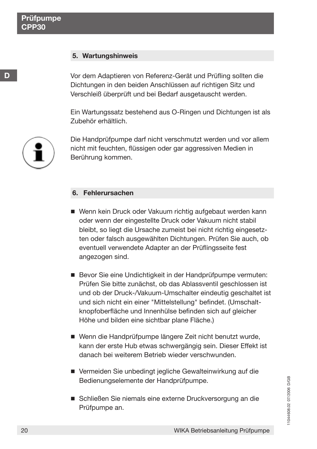**D**

## **5. Wartungshinweis**

Vor dem Adaptieren von Referenz-Gerät und Prüfling sollten die Dichtungen in den beiden Anschlüssen auf richtigen Sitz und Verschleiß überprüft und bei Bedarf ausgetauscht werden.

Ein Wartungssatz bestehend aus O-Ringen und Dichtungen ist als Zubehör erhältlich.



Die Handprüfpumpe darf nicht verschmutzt werden und vor allem nicht mit feuchten, flüssigen oder gar aggressiven Medien in Berührung kommen.

## **6. Fehlerursachen**

- Wenn kein Druck oder Vakuum richtig aufgebaut werden kann oder wenn der eingestellte Druck oder Vakuum nicht stabil bleibt, so liegt die Ursache zumeist bei nicht richtig eingesetzten oder falsch ausgewählten Dichtungen. Prüfen Sie auch, ob eventuell verwendete Adapter an der Prüflingsseite fest angezogen sind.
- Bevor Sie eine Undichtigkeit in der Handprüfpumpe vermuten: Prüfen Sie bitte zunächst, ob das Ablassventil geschlossen ist und ob der Druck-/Vakuum-Umschalter eindeutig geschaltet ist und sich nicht ein einer "Mittelstellung" befindet. (Umschaltknopfoberfläche und Innenhülse befinden sich auf gleicher Höhe und bilden eine sichtbar plane Fläche.)
- Wenn die Handprüfpumpe längere Zeit nicht benutzt wurde, kann der erste Hub etwas schwergängig sein. Dieser Effekt ist danach bei weiterem Betrieb wieder verschwunden.
- Vermeiden Sie unbedingt jegliche Gewalteinwirkung auf die Bedienungselemente der Handprüfpumpe.
- Schließen Sie niemals eine externe Druckversorgung an die Prüfpumpe an.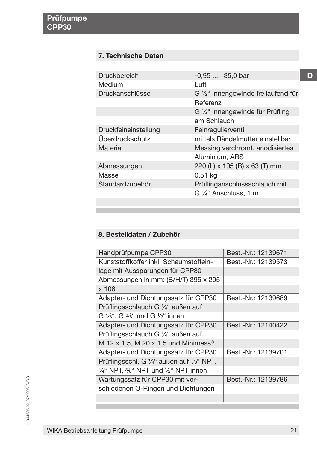## **7. Technische Daten**

| Druckbereich         | $-0.95+35.0$ bar                              |
|----------------------|-----------------------------------------------|
| Medium               | l uft                                         |
| Druckanschlüsse      | $G\frac{1}{2}$ " Innengewinde freilaufend für |
|                      | Referenz                                      |
|                      | G ¼" Innengewinde für Prüfling                |
|                      | am Schlauch                                   |
| Druckfeineinstellung | Feinregulierventil                            |
| Überdruckschutz      | mittels Rändelmutter einstellbar              |
| Material             | Messing verchromt, anodisiertes               |
|                      | Aluminium, ABS                                |
| Abmessungen          | 220 (L) x 105 (B) x 63 (T) mm                 |
| Masse                | 0,51 kg                                       |
| Standardzubehör      | Prüflinganschlussschlauch mit                 |
|                      | G 1/4" Anschluss, 1 m                         |
|                      |                                               |

## 8. Bestelldaten / Zubehör

| Handprüfpumpe CPP30                                                    | Best.-Nr.: 12139671 |
|------------------------------------------------------------------------|---------------------|
| Kunststoffkoffer inkl. Schaumstoffein-                                 | Best.-Nr.: 12139573 |
| lage mit Aussparungen für CPP30                                        |                     |
| Abmessungen in mm: (B/H/T) 395 x 295                                   |                     |
| $x$ 106                                                                |                     |
| Adapter- und Dichtungssatz für CPP30                                   | Best.-Nr.: 12139689 |
| Prüflingsschlauch G 1/4" außen auf                                     |                     |
| G $\frac{1}{8}$ ", G $\frac{3}{8}$ " und G $\frac{1}{2}$ " innen       |                     |
| Adapter- und Dichtungssatz für CPP30                                   | Best.-Nr.: 12140422 |
| Prüflingsschlauch G ¼" außen auf                                       |                     |
| M 12 x 1,5, M 20 x 1,5 und Minimess <sup>®</sup>                       |                     |
| Adapter- und Dichtungssatz für CPP30                                   | Best.-Nr.: 12139701 |
| Prüflingsschl. G ¼" außen auf 1⁄8" NPT,                                |                     |
| $\frac{1}{4}$ " NPT, $\frac{3}{8}$ " NPT und $\frac{1}{2}$ " NPT innen |                     |
| Wartungssatz für CPP30 mit ver-                                        | Best.-Nr.: 12139786 |
| schiedenen O-Ringen und Dichtungen                                     |                     |
|                                                                        |                     |

**D**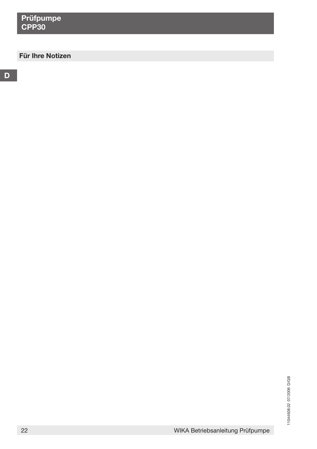## **Für Ihre Notizen**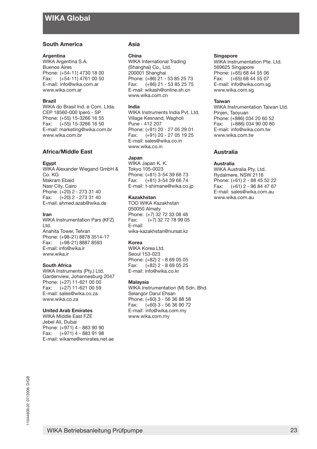#### **South America**

#### **Argentina**

WIKA Argentina S.A. Buenos Aires Phone: (+54-11) 4730 18 00 Fax:  $(+54-11)$  4761 00 50 E-mail: info@wika.com.ar www.wika.com.ar

#### **Brazil**

WIKA do Brasil Ind. e Com. Ltda. CEP 18560-000 Iperó - SP Phone: (+55) 15-3266 16 55 Fax: (+55) 15-3266 16 50 E-mail: marketing@wika.com.br www.wika.com.br

### **Africa/Middle East**

#### **Egypt**

WIKA Alexander Wiegand GmbH & Co. KG Makram Ebaid Nasr City, Cairo Phone: (+20) 2 - 273 31 40 Fax: (+20) 2 - 273 31 40 E-mail: ahmed.azab@wika.de

#### **Iran**

WIKA Instrumentation Pars (KFZ) Ltd. Anahita Tower, Tehran Phone: (+98-21) 8878 3514-17 Fax: (+98-21) 8887 8593 E-mail: info@wika.ir www.wika.ir

#### **South Africa**

WIKA Instruments (Pty.) Ltd. Gardenview, Johannesburg 2047 Phone: (+27) 11-621 00 00 Fax:  $(+27)$  11-621 00 59 E-mail: sales@wika.co.za www.wika.co.za

#### **United Arab Emirates**

WIKA Middle East FZE Jebel Ali, Dubai Phone: (+971) 4 - 883 90 90 Fax: (+971) 4 - 883 91 98 E-mail: wikame@emirates.net.ae

#### **Asia**

#### **China**

WIKA International Trading (Shanghai) Co., Ltd. 200001 Shanghai Phone: (+86) 21 - 53 85 25 73 Fax:  $(+86)$  21 - 53 85 25 75 E-mail: wikash@online.sh.cn www.wika.com.cn

#### **India**

WIKA Instruments India Pvt. Ltd. Village Kesnand, Wagholi Pune - 412 207 Phone: (+91) 20 - 27 05 29 01 Fax:  $(+91)$  20 - 27 05 19 25 E-mail: sales@wika.co.in www.wika.co.in

#### **Japan**

WIKA Japan K. K. Tokyo 105-0023 Phone: (+81) 3-54 39 66 73 Fax: (+81) 3-54 39 66 74 E-mail: t-shimane@wika.co.jp

#### **Kazakhstan**

TOO WIKA Kazakhstan 050050 Almaty Phone: (+7) 32 72 33 08 48 Fax: (+7) 32 72 78 99 05 E-mail: wika-kazakhstan@nursat.kz

#### **Korea**

WIKA Korea Ltd. Seoul 153-023 Phone: (+82) 2 - 8 69 05 05 Fax: (+82) 2 - 8 69 05 25 E-mail: info@wika.co.kr

#### **Malaysia**

WIKA Instrumentation (M) Sdn. Bhd. Selangor Darul Ehsan Phone: (+60) 3 - 56 36 88 58 Fax: (+60) 3 - 56 36 90 72 E-mail: info@wika.com.my www.wika.com.my

#### **Singapore**

WIKA Instrumentation Pte. Ltd. 569625 Singapore Phone: (+65) 68 44 55 06 Fax: (+65) 68 44 55 07 E-mail: info@wika.com.sg www.wika.com.sg

#### **Taiwan**

WIKA Instrumentation Taiwan Ltd. Pinjen, Taoyuan Phone: (+886) 034 20 60 52 Fax: (+886) 034 90 00 80 E-mail: info@wika.com.tw www.wika.com.tw

#### **Australia**

#### **Australia**

WIKA Australia Pty. Ltd. Rydalmere, NSW 2116 Phone: (+61) 2 - 88 45 52 22 Fax: (+61) 2 - 96 84 47 67 E-mail: sales@wika.com.au www.wika.com.au